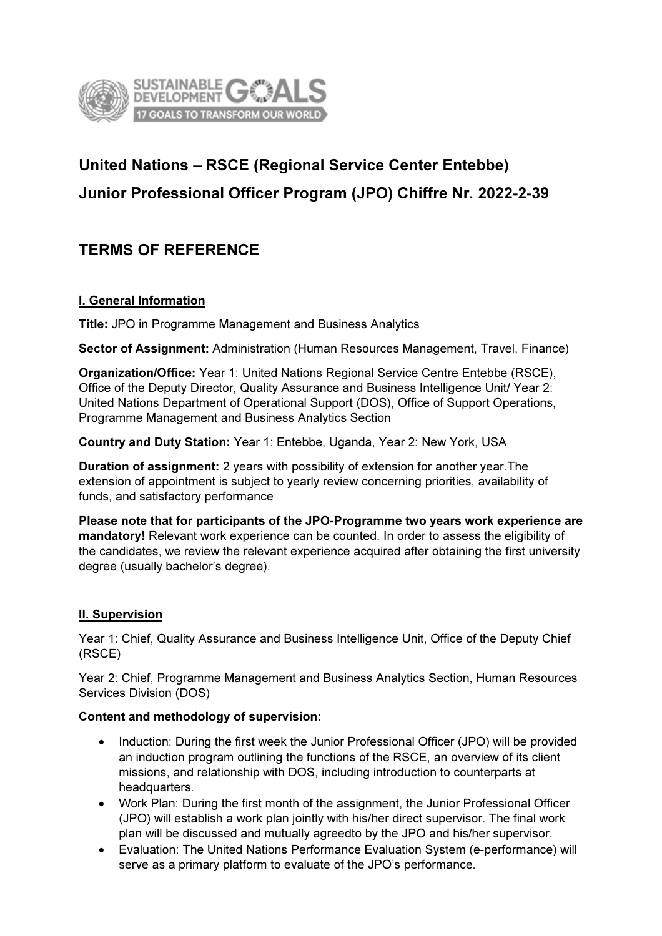

# United Nations – RSCE (Regional Service Center Entebbe) Junior Professional Officer Program (JPO) Chiffre Nr. 2022-2-39

# TERMS OF REFERENCE

#### I. General Information

Title: JPO in Programme Management and Business Analytics

Sector of Assignment: Administration (Human Resources Management, Travel, Finance)

Organization/Office: Year 1: United Nations Regional Service Centre Entebbe (RSCE), Office of the Deputy Director, Quality Assurance and Business Intelligence Unit/ Year 2: United Nations Department of Operational Support (DOS), Office of Support Operations, Programme Management and Business Analytics Section

Country and Duty Station: Year 1: Entebbe, Uganda, Year 2: New York, USA

Duration of assignment: 2 years with possibility of extension for another year.The extension of appointment is subject to yearly review concerning priorities, availability of funds, and satisfactory performance

Please note that for participants of the JPO-Programme two years work experience are mandatory! Relevant work experience can be counted. In order to assess the eligibility of the candidates, we review the relevant experience acquired after obtaining the first university degree (usually bachelor's degree).

#### II. Supervision

Year 1: Chief, Quality Assurance and Business Intelligence Unit, Office of the Deputy Chief (RSCE)

Year 2: Chief, Programme Management and Business Analytics Section, Human Resources Services Division (DOS)

#### Content and methodology of supervision:

- Induction: During the first week the Junior Professional Officer (JPO) will be provided an induction program outlining the functions of the RSCE, an overview of its client missions, and relationship with DOS, including introduction to counterparts at headquarters.
- Work Plan: During the first month of the assignment, the Junior Professional Officer (JPO) will establish a work plan jointly with his/her direct supervisor. The final work plan will be discussed and mutually agreedto by the JPO and his/her supervisor.
- Evaluation: The United Nations Performance Evaluation System (e-performance) will serve as a primary platform to evaluate of the JPO's performance.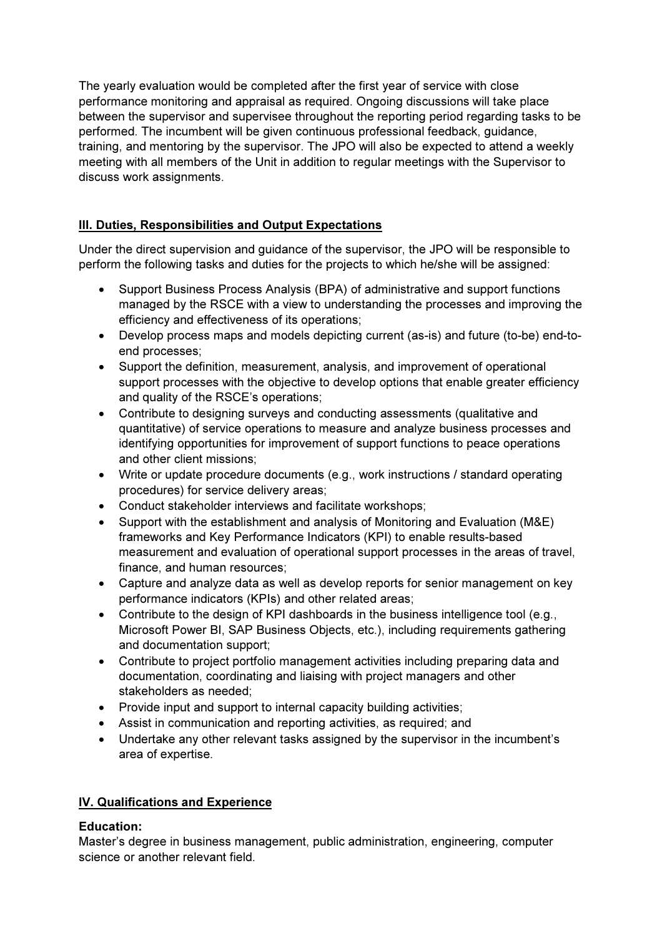The yearly evaluation would be completed after the first year of service with close performance monitoring and appraisal as required. Ongoing discussions will take place between the supervisor and supervisee throughout the reporting period regarding tasks to be performed. The incumbent will be given continuous professional feedback, guidance, training, and mentoring by the supervisor. The JPO will also be expected to attend a weekly meeting with all members of the Unit in addition to regular meetings with the Supervisor to discuss work assignments.

## III. Duties, Responsibilities and Output Expectations

Under the direct supervision and guidance of the supervisor, the JPO will be responsible to perform the following tasks and duties for the projects to which he/she will be assigned:

- Support Business Process Analysis (BPA) of administrative and support functions managed by the RSCE with a view to understanding the processes and improving the efficiency and effectiveness of its operations;
- Develop process maps and models depicting current (as-is) and future (to-be) end-toend processes;
- Support the definition, measurement, analysis, and improvement of operational support processes with the objective to develop options that enable greater efficiency and quality of the RSCE's operations;
- Contribute to designing surveys and conducting assessments (qualitative and quantitative) of service operations to measure and analyze business processes and identifying opportunities for improvement of support functions to peace operations and other client missions;
- Write or update procedure documents (e.g., work instructions / standard operating procedures) for service delivery areas;
- Conduct stakeholder interviews and facilitate workshops;
- Support with the establishment and analysis of Monitoring and Evaluation (M&E) frameworks and Key Performance Indicators (KPI) to enable results-based measurement and evaluation of operational support processes in the areas of travel, finance, and human resources:
- Capture and analyze data as well as develop reports for senior management on key performance indicators (KPIs) and other related areas;
- Contribute to the design of KPI dashboards in the business intelligence tool (e.g., Microsoft Power BI, SAP Business Objects, etc.), including requirements gathering and documentation support;
- Contribute to project portfolio management activities including preparing data and documentation, coordinating and liaising with project managers and other stakeholders as needed;
- Provide input and support to internal capacity building activities;
- Assist in communication and reporting activities, as required; and
- Undertake any other relevant tasks assigned by the supervisor in the incumbent's area of expertise.

#### IV. Qualifications and Experience

#### Education:

Master's degree in business management, public administration, engineering, computer science or another relevant field.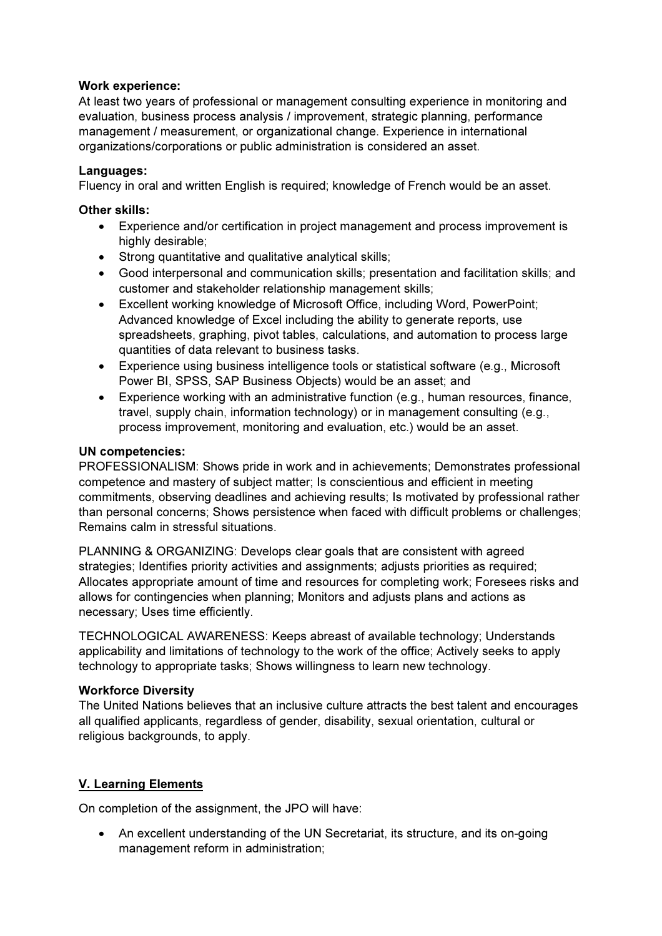#### Work experience:

At least two years of professional or management consulting experience in monitoring and evaluation, business process analysis / improvement, strategic planning, performance management / measurement, or organizational change. Experience in international organizations/corporations or public administration is considered an asset.

#### Languages:

Fluency in oral and written English is required; knowledge of French would be an asset.

#### Other skills:

- Experience and/or certification in project management and process improvement is highly desirable;
- Strong quantitative and qualitative analytical skills;
- Good interpersonal and communication skills; presentation and facilitation skills; and customer and stakeholder relationship management skills;
- Excellent working knowledge of Microsoft Office, including Word, PowerPoint; Advanced knowledge of Excel including the ability to generate reports, use spreadsheets, graphing, pivot tables, calculations, and automation to process large quantities of data relevant to business tasks.
- Experience using business intelligence tools or statistical software (e.g., Microsoft Power BI, SPSS, SAP Business Objects) would be an asset; and
- Experience working with an administrative function (e.g., human resources, finance, travel, supply chain, information technology) or in management consulting (e.g., process improvement, monitoring and evaluation, etc.) would be an asset.

#### UN competencies:

PROFESSIONALISM: Shows pride in work and in achievements; Demonstrates professional competence and mastery of subject matter; Is conscientious and efficient in meeting commitments, observing deadlines and achieving results; Is motivated by professional rather than personal concerns; Shows persistence when faced with difficult problems or challenges; Remains calm in stressful situations.

PLANNING & ORGANIZING: Develops clear goals that are consistent with agreed strategies; Identifies priority activities and assignments; adjusts priorities as required; Allocates appropriate amount of time and resources for completing work; Foresees risks and allows for contingencies when planning; Monitors and adjusts plans and actions as necessary; Uses time efficiently.

TECHNOLOGICAL AWARENESS: Keeps abreast of available technology; Understands applicability and limitations of technology to the work of the office; Actively seeks to apply technology to appropriate tasks; Shows willingness to learn new technology.

#### Workforce Diversity

The United Nations believes that an inclusive culture attracts the best talent and encourages all qualified applicants, regardless of gender, disability, sexual orientation, cultural or religious backgrounds, to apply.

#### V. Learning Elements

On completion of the assignment, the JPO will have:

 An excellent understanding of the UN Secretariat, its structure, and its on-going management reform in administration;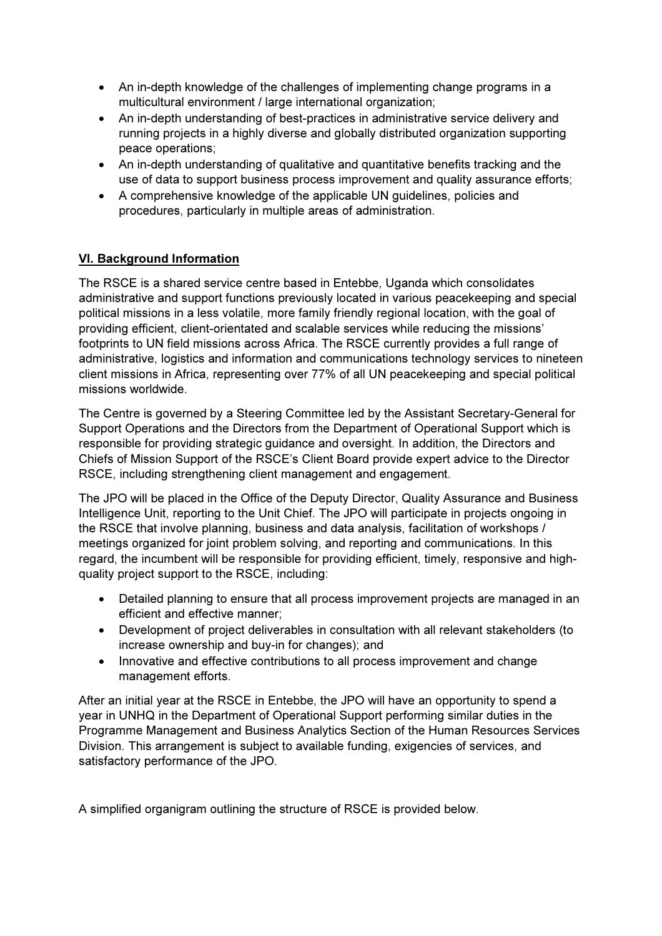- An in-depth knowledge of the challenges of implementing change programs in a multicultural environment / large international organization;
- An in-depth understanding of best-practices in administrative service delivery and running projects in a highly diverse and globally distributed organization supporting peace operations;
- An in-depth understanding of qualitative and quantitative benefits tracking and the use of data to support business process improvement and quality assurance efforts;
- A comprehensive knowledge of the applicable UN guidelines, policies and procedures, particularly in multiple areas of administration.

## VI. Background Information

The RSCE is a shared service centre based in Entebbe, Uganda which consolidates administrative and support functions previously located in various peacekeeping and special political missions in a less volatile, more family friendly regional location, with the goal of providing efficient, client-orientated and scalable services while reducing the missions' footprints to UN field missions across Africa. The RSCE currently provides a full range of administrative, logistics and information and communications technology services to nineteen client missions in Africa, representing over 77% of all UN peacekeeping and special political missions worldwide.

The Centre is governed by a Steering Committee led by the Assistant Secretary-General for Support Operations and the Directors from the Department of Operational Support which is responsible for providing strategic guidance and oversight. In addition, the Directors and Chiefs of Mission Support of the RSCE's Client Board provide expert advice to the Director RSCE, including strengthening client management and engagement.

The JPO will be placed in the Office of the Deputy Director, Quality Assurance and Business Intelligence Unit, reporting to the Unit Chief. The JPO will participate in projects ongoing in the RSCE that involve planning, business and data analysis, facilitation of workshops / meetings organized for joint problem solving, and reporting and communications. In this regard, the incumbent will be responsible for providing efficient, timely, responsive and highquality project support to the RSCE, including:

- Detailed planning to ensure that all process improvement projects are managed in an efficient and effective manner;
- Development of project deliverables in consultation with all relevant stakeholders (to increase ownership and buy-in for changes); and
- Innovative and effective contributions to all process improvement and change management efforts.

After an initial year at the RSCE in Entebbe, the JPO will have an opportunity to spend a year in UNHQ in the Department of Operational Support performing similar duties in the Programme Management and Business Analytics Section of the Human Resources Services Division. This arrangement is subject to available funding, exigencies of services, and satisfactory performance of the JPO.

A simplified organigram outlining the structure of RSCE is provided below.